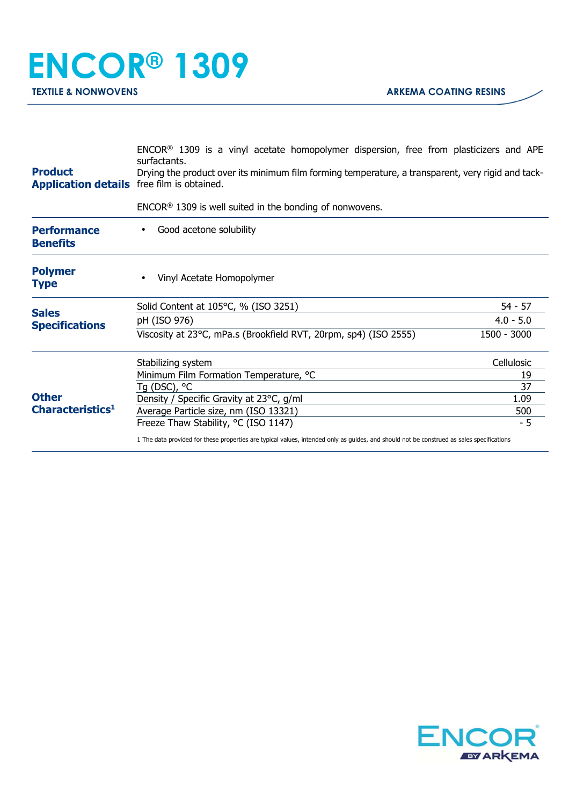| <b>Product</b><br><b>Application details</b> free film is obtained. | ENCOR <sup>®</sup> 1309 is a vinyl acetate homopolymer dispersion, free from plasticizers and APE<br>surfactants.<br>Drying the product over its minimum film forming temperature, a transparent, very rigid and tack- |             |  |
|---------------------------------------------------------------------|------------------------------------------------------------------------------------------------------------------------------------------------------------------------------------------------------------------------|-------------|--|
|                                                                     | $ENCOR®$ 1309 is well suited in the bonding of nonwovens.                                                                                                                                                              |             |  |
| <b>Performance</b><br><b>Benefits</b>                               | Good acetone solubility                                                                                                                                                                                                |             |  |
| <b>Polymer</b><br><b>Type</b>                                       | Vinyl Acetate Homopolymer                                                                                                                                                                                              |             |  |
| <b>Sales</b>                                                        | Solid Content at 105°C, % (ISO 3251)                                                                                                                                                                                   | $54 - 57$   |  |
| <b>Specifications</b>                                               | pH (ISO 976)                                                                                                                                                                                                           | $4.0 - 5.0$ |  |
| <b>Other</b><br>Characteristics <sup>1</sup>                        | Viscosity at 23°C, mPa.s (Brookfield RVT, 20rpm, sp4) (ISO 2555)                                                                                                                                                       | 1500 - 3000 |  |
|                                                                     | Stabilizing system                                                                                                                                                                                                     | Cellulosic  |  |
|                                                                     | Minimum Film Formation Temperature, °C                                                                                                                                                                                 | 19          |  |
|                                                                     | Tg (DSC), °C                                                                                                                                                                                                           | 37          |  |
|                                                                     | Density / Specific Gravity at 23°C, g/ml                                                                                                                                                                               | 1.09        |  |
|                                                                     | Average Particle size, nm (ISO 13321)<br>Freeze Thaw Stability, °C (ISO 1147)                                                                                                                                          | 500<br>$-5$ |  |
|                                                                     | 1 The data provided for these properties are typical values, intended only as guides, and should not be construed as sales specifications                                                                              |             |  |